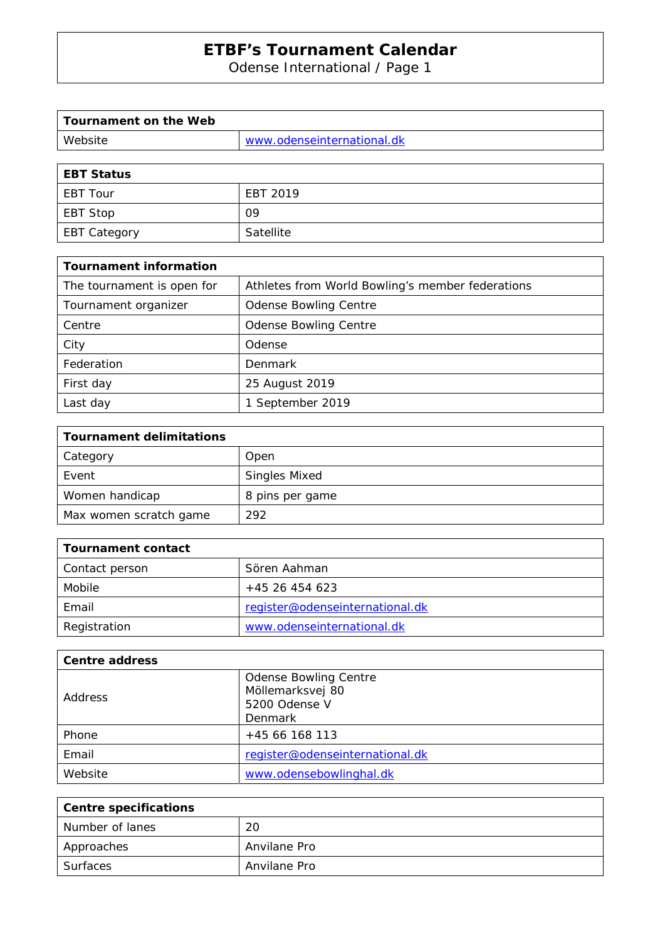Odense International / Page 1

| Tournament on the Web |                            |
|-----------------------|----------------------------|
| Website               | www.odenseinternational.dk |

| <b>EBT Status</b>   |           |
|---------------------|-----------|
| <b>EBT Tour</b>     | EBT 2019  |
| <b>EBT Stop</b>     | 09        |
| <b>EBT Category</b> | Satellite |

| <b>Tournament information</b> |                                                  |
|-------------------------------|--------------------------------------------------|
| The tournament is open for    | Athletes from World Bowling's member federations |
| Tournament organizer          | <b>Odense Bowling Centre</b>                     |
| Centre                        | <b>Odense Bowling Centre</b>                     |
| City                          | Odense                                           |
| Federation                    | Denmark                                          |
| First day                     | 25 August 2019                                   |
| Last day                      | 1 September 2019                                 |

| <b>Tournament delimitations</b> |                      |
|---------------------------------|----------------------|
| Category                        | Open                 |
| Event                           | <b>Singles Mixed</b> |
| Women handicap                  | 8 pins per game      |
| Max women scratch game          | 292                  |

| Tournament contact |                                 |
|--------------------|---------------------------------|
| Contact person     | Sören Aahman                    |
| Mobile             | +45 26 454 623                  |
| Email              | register@odenseinternational.dk |
| Registration       | www.odenseinternational.dk      |

| Centre address |                                                                   |
|----------------|-------------------------------------------------------------------|
| Address        | <b>Odense Bowling Centre</b><br>Möllemarksvej 80<br>5200 Odense V |
|                | Denmark                                                           |
| Phone          | +45 66 168 113                                                    |
| Email          | register@odenseinternational.dk                                   |
| Website        | www.odensebowlinghal.dk                                           |

| Centre specifications |              |
|-----------------------|--------------|
| Number of lanes       | 20           |
| Approaches            | Anvilane Pro |
| Surfaces              | Anvilane Pro |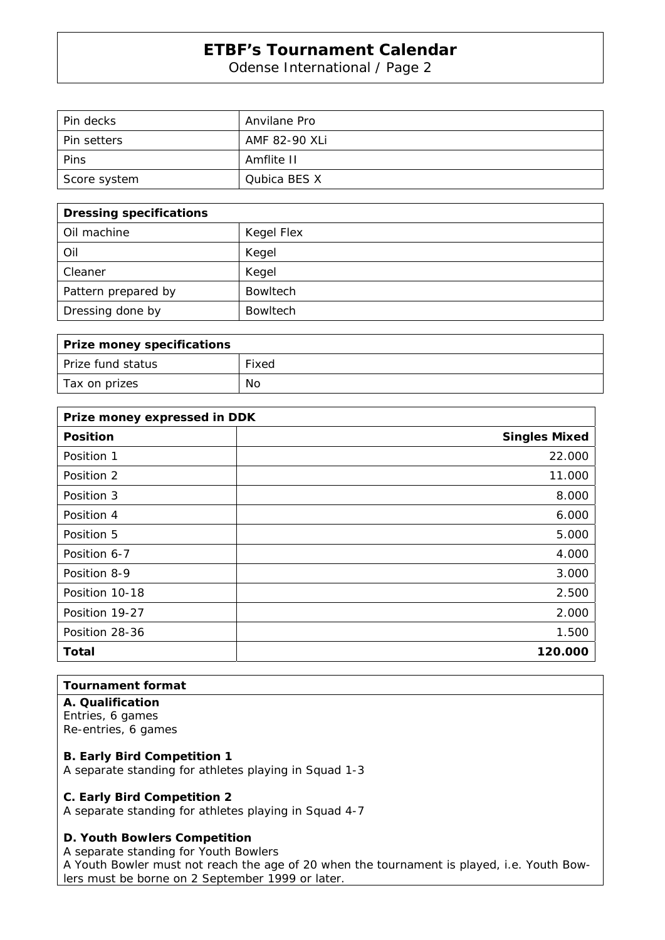Odense International / Page 2

| Pin decks          | Anvilane Pro  |
|--------------------|---------------|
| <b>Pin setters</b> | AMF 82-90 XLi |
| Pins               | Amflite II    |
| Score system       | Qubica BES X  |

| <b>Dressing specifications</b> |                 |
|--------------------------------|-----------------|
| Oil machine                    | Kegel Flex      |
| Oil                            | Kegel           |
| Cleaner                        | Kegel           |
| Pattern prepared by            | <b>Bowltech</b> |
| Dressing done by               | <b>Bowltech</b> |

| Prize money specifications |       |
|----------------------------|-------|
| Prize fund status          | Fixed |
| Tax on prizes              | No    |

| Prize money expressed in DDK |                      |
|------------------------------|----------------------|
| <b>Position</b>              | <b>Singles Mixed</b> |
| Position 1                   | 22.000               |
| Position 2                   | 11.000               |
| Position 3                   | 8.000                |
| Position 4                   | 6.000                |
| Position 5                   | 5.000                |
| Position 6-7                 | 4.000                |
| Position 8-9                 | 3.000                |
| Position 10-18               | 2.500                |
| Position 19-27               | 2.000                |
| Position 28-36               | 1.500                |
| <b>Total</b>                 | 120.000              |

## **Tournament format**

**A. Qualification**  Entries, 6 games Re-entries, 6 games

### **B. Early Bird Competition 1**

A separate standing for athletes playing in Squad 1-3

#### **C. Early Bird Competition 2**

A separate standing for athletes playing in Squad 4-7

## **D. Youth Bowlers Competition**

A separate standing for Youth Bowlers

A Youth Bowler must not reach the age of 20 when the tournament is played, i.e. Youth Bowlers must be borne on 2 September 1999 or later.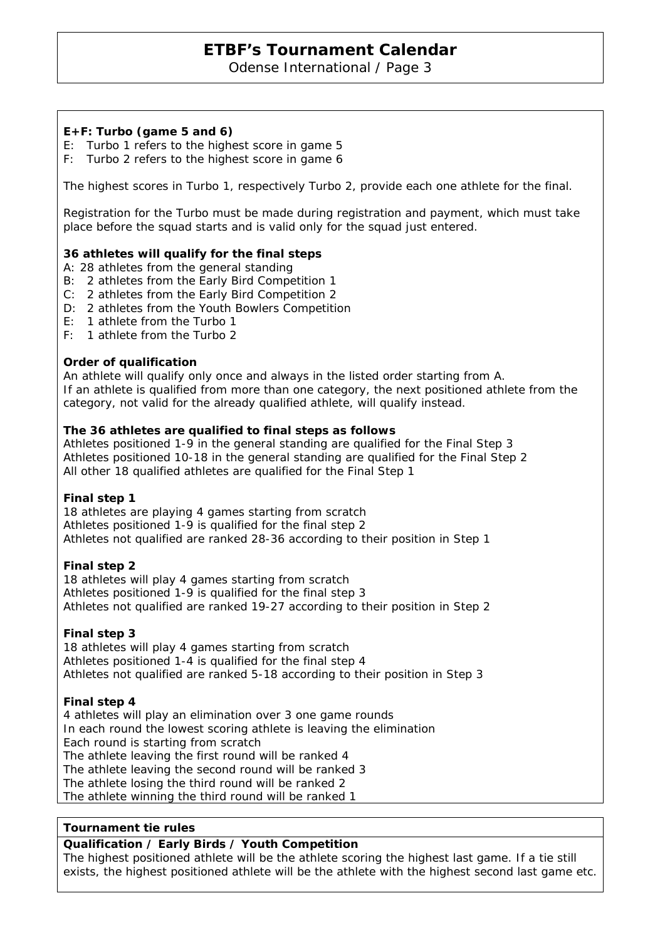Odense International / Page 3

### **E+F: Turbo (game 5 and 6)**

- E: Turbo 1 refers to the highest score in game 5
- F: Turbo 2 refers to the highest score in game 6

The highest scores in Turbo 1, respectively Turbo 2, provide each one athlete for the final.

Registration for the Turbo must be made during registration and payment, which must take place before the squad starts and is valid only for the squad just entered.

#### **36 athletes will qualify for the final steps**

- A: 28 athletes from the general standing
- B: 2 athletes from the Early Bird Competition 1
- C: 2 athletes from the Early Bird Competition 2
- D: 2 athletes from the Youth Bowlers Competition
- E: 1 athlete from the Turbo 1
- F: 1 athlete from the Turbo 2

#### **Order of qualification**

An athlete will qualify only once and always in the listed order starting from A. If an athlete is qualified from more than one category, the next positioned athlete from the category, not valid for the already qualified athlete, will qualify instead.

#### **The 36 athletes are qualified to final steps as follows**

Athletes positioned 1-9 in the general standing are qualified for the Final Step 3 Athletes positioned 10-18 in the general standing are qualified for the Final Step 2 All other 18 qualified athletes are qualified for the Final Step 1

#### **Final step 1**

18 athletes are playing 4 games starting from scratch Athletes positioned 1-9 is qualified for the final step 2 Athletes not qualified are ranked 28-36 according to their position in Step 1

### **Final step 2**

18 athletes will play 4 games starting from scratch Athletes positioned 1-9 is qualified for the final step 3 Athletes not qualified are ranked 19-27 according to their position in Step 2

#### **Final step 3**

18 athletes will play 4 games starting from scratch Athletes positioned 1-4 is qualified for the final step 4 Athletes not qualified are ranked 5-18 according to their position in Step 3

#### **Final step 4**

4 athletes will play an elimination over 3 one game rounds In each round the lowest scoring athlete is leaving the elimination Each round is starting from scratch The athlete leaving the first round will be ranked 4 The athlete leaving the second round will be ranked 3 The athlete losing the third round will be ranked 2 The athlete winning the third round will be ranked 1

#### **Tournament tie rules**

#### **Qualification / Early Birds / Youth Competition**

The highest positioned athlete will be the athlete scoring the highest last game. If a tie still exists, the highest positioned athlete will be the athlete with the highest second last game etc.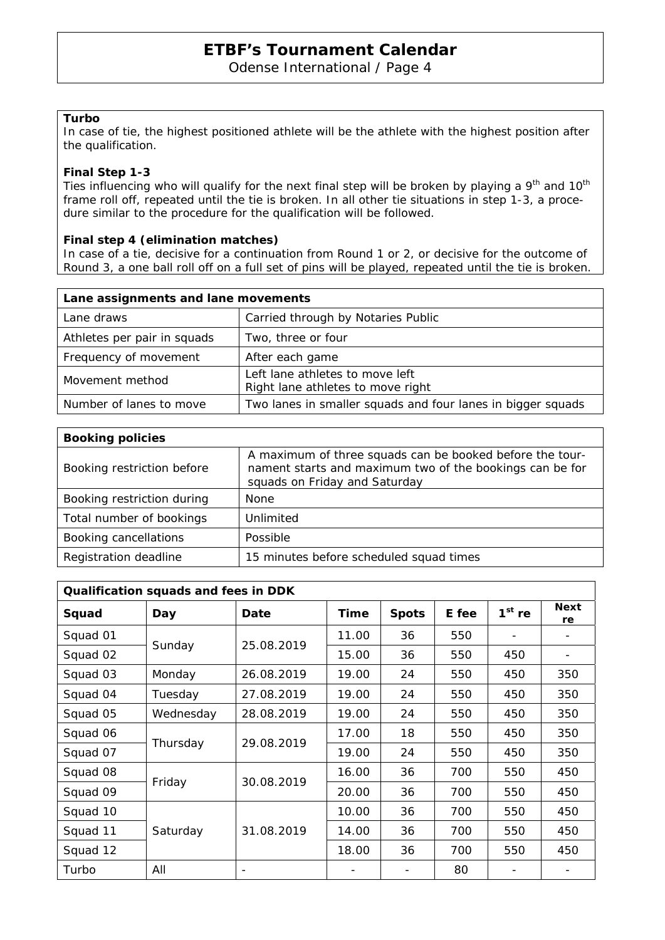Odense International / Page 4

#### **Turbo**

In case of tie, the highest positioned athlete will be the athlete with the highest position after the qualification.

#### **Final Step 1-3**

Ties influencing who will qualify for the next final step will be broken by playing a 9<sup>th</sup> and 10<sup>th</sup> frame roll off, repeated until the tie is broken. In all other tie situations in step 1-3, a procedure similar to the procedure for the qualification will be followed.

### **Final step 4 (elimination matches)**

In case of a tie, decisive for a continuation from Round 1 or 2, or decisive for the outcome of Round 3, a one ball roll off on a full set of pins will be played, repeated until the tie is broken.

| Lane assignments and lane movements |                                                                      |
|-------------------------------------|----------------------------------------------------------------------|
| Lane draws                          | Carried through by Notaries Public                                   |
| Athletes per pair in squads         | Two, three or four                                                   |
| Frequency of movement               | After each game                                                      |
| Movement method                     | Left lane athletes to move left<br>Right lane athletes to move right |
| Number of lanes to move             | Two lanes in smaller squads and four lanes in bigger squads          |

| <b>Booking policies</b>    |                                                                                                                                                       |  |  |  |  |  |
|----------------------------|-------------------------------------------------------------------------------------------------------------------------------------------------------|--|--|--|--|--|
| Booking restriction before | A maximum of three squads can be booked before the tour-<br>nament starts and maximum two of the bookings can be for<br>squads on Friday and Saturday |  |  |  |  |  |
| Booking restriction during | <b>None</b>                                                                                                                                           |  |  |  |  |  |
| Total number of bookings   | Unlimited                                                                                                                                             |  |  |  |  |  |
| Booking cancellations      | Possible                                                                                                                                              |  |  |  |  |  |
| Registration deadline      | 15 minutes before scheduled squad times                                                                                                               |  |  |  |  |  |

| Qualification squads and fees in DDK |           |            |       |              |       |          |                   |  |  |
|--------------------------------------|-----------|------------|-------|--------------|-------|----------|-------------------|--|--|
| Squad                                | Day       | Date       | Time  | <b>Spots</b> | E fee | $1st$ re | <b>Next</b><br>re |  |  |
| Squad 01                             | Sunday    | 25.08.2019 | 11.00 | 36           | 550   |          |                   |  |  |
| Squad 02                             |           |            | 15.00 | 36           | 550   | 450      |                   |  |  |
| Squad 03                             | Monday    | 26.08.2019 | 19.00 | 24           | 550   | 450      | 350               |  |  |
| Squad 04                             | Tuesday   | 27.08.2019 | 19.00 | 24           | 550   | 450      | 350               |  |  |
| Squad 05                             | Wednesday | 28.08.2019 | 19.00 | 24           | 550   | 450      | 350               |  |  |
| Squad 06                             | Thursday  | 29.08.2019 | 17.00 | 18           | 550   | 450      | 350               |  |  |
| Squad 07                             |           |            | 19.00 | 24           | 550   | 450      | 350               |  |  |
| Squad 08                             | Friday    | 30.08.2019 | 16.00 | 36           | 700   | 550      | 450               |  |  |
| Squad 09                             |           |            | 20.00 | 36           | 700   | 550      | 450               |  |  |
| Squad 10                             | Saturday  | 31.08.2019 | 10.00 | 36           | 700   | 550      | 450               |  |  |
| Squad 11                             |           |            | 14.00 | 36           | 700   | 550      | 450               |  |  |
| Squad 12                             |           |            | 18.00 | 36           | 700   | 550      | 450               |  |  |
| Turbo                                | All       |            |       |              | 80    |          |                   |  |  |